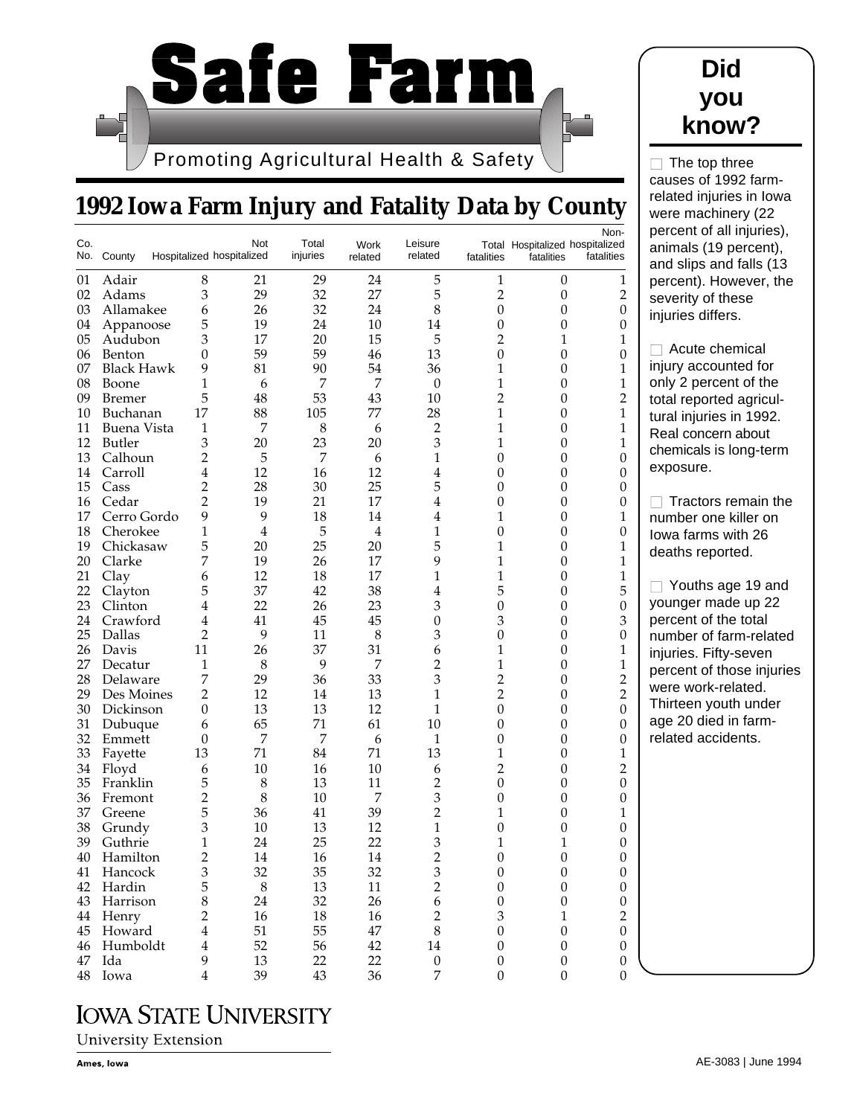

## **1992 Iowa Farm Injury and Fatality Data by County**

| Co. | No. County        |                | Not<br>Hospitalized hospitalized | Total<br>injuries | Work<br>related | Leisure<br>related | fatalities       | Total Hospitalized hospitalized<br>fatalities | Non-<br>fatalities |
|-----|-------------------|----------------|----------------------------------|-------------------|-----------------|--------------------|------------------|-----------------------------------------------|--------------------|
| 01  | Adair             | 8              | 21                               | 29                | 24              | 5                  | 1                | $\boldsymbol{0}$                              | 1                  |
| 02  | Adams             | 3              | 29                               | 32                | 27              | 5                  | $\overline{2}$   | $\boldsymbol{0}$                              | $\overline{2}$     |
| 03  | Allamakee         | 6              | 26                               | 32                | 24              | 8                  | $\mathbf{0}$     | $\theta$                                      | $\boldsymbol{0}$   |
| 04  | Appanoose         | 5              | 19                               | 24                | 10              | 14                 | 0                | $\boldsymbol{0}$                              | 0                  |
| 05  | Audubon           | 3              | 17                               | 20                | 15              | 5                  | $\overline{c}$   | 1                                             | 1                  |
| 06  | Benton            | $\overline{0}$ | 59                               | 59                | 46              | 13                 | 0                | 0                                             | $\boldsymbol{0}$   |
| 07  | <b>Black Hawk</b> | 9              | 81                               | 90                | 54              | 36                 | 1                | $\overline{0}$                                | 1                  |
| 08  | Boone             | 1              | 6                                | 7                 | $\overline{7}$  | $\theta$           | 1                | $\overline{0}$                                | 1                  |
| 09  | Bremer            | 5              | 48                               | 53                | 43              | 10                 | $\overline{c}$   | $\theta$                                      | $\overline{2}$     |
| 10  | Buchanan          | 17             | 88                               | 105               | 77              | 28                 | 1                | $\theta$                                      | 1                  |
| 11  | Buena Vista       | 1              | $\overline{7}$                   | 8                 | 6               | $\overline{c}$     | 1                | $\overline{0}$                                | 1                  |
| 12  | Butler            | 3              | 20                               | 23                | 20              | 3                  | 1                | 0                                             | 1                  |
| 13  | Calhoun           | 2              | 5                                | 7                 | 6               | 1                  | 0                | $\theta$                                      | 0                  |
| 14  | Carroll           | 4              | 12                               | 16                | 12              | 4                  | 0                | 0                                             | 0                  |
| 15  | Cass              | $\overline{c}$ | 28                               | 30                | 25              | 5                  | 0                | $\overline{0}$                                | 0                  |
| 16  | Cedar             | $\overline{2}$ | 19                               | 21                | 17              | 4                  | 0                | $\overline{0}$                                | 0                  |
| 17  | Cerro Gordo       | 9              | 9                                | 18                | 14              | 4                  | 1                | $\theta$                                      | 1                  |
| 18  | Cherokee          | 1              | $\overline{4}$                   | 5                 | $\overline{4}$  | 1                  | 0                | $\overline{0}$                                | $\boldsymbol{0}$   |
| 19  | Chickasaw         | 5              | 20                               | 25                | 20              | 5                  | 1                | $\overline{0}$                                | 1                  |
| 20  | Clarke            | 7              | 19                               | 26                | 17              | 9                  | 1                | 0                                             | 1                  |
| 21  | Clay              | 6              | 12                               | 18                | 17              | 1                  | 1                | $\theta$                                      | 1                  |
| 22  | Clayton           | 5              | 37                               | 42                | 38              | 4                  | 5                | 0                                             | 5                  |
| 23  | Clinton           | 4              | 22                               | 26                | 23              | 3                  | 0                | $\overline{0}$                                | $\theta$           |
| 24  | Crawford          | 4              | 41                               | 45                | 45              | 0                  | 3                | $\overline{0}$                                | 3                  |
| 25  | Dallas            | $\overline{2}$ | 9                                | 11                | 8               | 3                  | $\overline{0}$   | $\theta$                                      | 0                  |
| 26  | Davis             | 11             | 26                               | 37                | 31              | 6                  | 1                | $\boldsymbol{0}$                              | 1                  |
| 27  | Decatur           | 1              | 8                                | 9                 | 7               | $\overline{c}$     | 1                | $\overline{0}$                                | 1                  |
| 28  | Delaware          | 7              | 29                               | 36                | 33              | 3                  | $\overline{c}$   | 0                                             | $\overline{c}$     |
| 29  | Des Moines        | 2              | 12                               | 14                | 13              | 1                  | $\overline{c}$   | $\theta$                                      | $\overline{2}$     |
| 30  | Dickinson         | $\overline{0}$ | 13                               | 13                | 12              | 1                  | 0                | 0                                             | $\theta$           |
| 31  | Dubuque           | 6              | 65                               | 71                | 61              | 10                 | 0                | $\overline{0}$                                | $\overline{0}$     |
| 32  | Emmett            | 0              | $\overline{7}$                   | 7                 | 6               | 1                  | $\overline{0}$   | $\overline{0}$                                | 0                  |
| 33  | Fayette           | 13             | 71                               | 84                | 71              | 13                 | 1                | $\theta$                                      | 1                  |
| 34  | Floyd             | 6              | 10                               | 16                | 10              | 6                  | $\overline{c}$   | 0                                             | $\overline{2}$     |
| 35  | Franklin          | 5              | 8                                | 13                | 11              | $\overline{c}$     | 0                | $\overline{0}$                                | $\theta$           |
| 36  | Fremont           | 2              | 8                                | 10                | 7               | 3                  | 0                | 0                                             | $\boldsymbol{0}$   |
| 37  | Greene            | 5              | 36                               | 41                | 39              | $\overline{c}$     | 1                | 0                                             | 1                  |
| 38  | Grundy            | 3              | 10                               | 13                | 12              | $\mathbf 1$        | 0                | $\boldsymbol{0}$                              | $\boldsymbol{0}$   |
| 39  | Guthrie           | 1              | 24                               | 25                | 22              | 3                  | 1                | 1                                             | $\theta$           |
| 40  | Hamilton          | $\overline{2}$ | 14                               | 16                | 14              | $\overline{2}$     | 0                | $\Omega$                                      | 0                  |
| 41  | Hancock           | 3              | 32                               | 35                | 32              | 3                  | $\boldsymbol{0}$ | $\boldsymbol{0}$                              | $\boldsymbol{0}$   |
| 42  | Hardin            | 5              | $\,8\,$                          | 13                | 11              | $\overline{2}$     | $\boldsymbol{0}$ | $\boldsymbol{0}$                              | $\boldsymbol{0}$   |
|     | 43 Harrison       | 8              | 24                               | 32                | 26              | 6                  | $\boldsymbol{0}$ | $\boldsymbol{0}$                              | $\boldsymbol{0}$   |
|     | 44 Henry          | 2              | 16                               | 18                | 16              | $\sqrt{2}$         | 3                | 1                                             | $\overline{2}$     |
|     | 45 Howard         | 4              | 51                               | 55                | $47\,$          | 8                  | $\theta$         | $\boldsymbol{0}$                              | $\theta$           |
|     | 46 Humboldt       | 4              | 52                               | 56                | 42              | 14                 | $\boldsymbol{0}$ | $\boldsymbol{0}$                              | 0                  |
| 47  | Ida               | 9              | 13                               | 22                | 22              | $\boldsymbol{0}$   | $\boldsymbol{0}$ | $\boldsymbol{0}$                              | $\boldsymbol{0}$   |
|     | 48 Iowa           | $\overline{4}$ | 39                               | 43                | 36              | $\overline{7}$     | $\boldsymbol{0}$ | $\boldsymbol{0}$                              | $\theta$           |

## **IOWA STATE UNIVERSITY**



 $\Box$  The top three causes of 1992 farmrelated injuries in Iowa were machinery (22 rcent of all injuries), imals (19 percent), d slips and falls (13 rcent). However, the erity of these **uries differs.** 

Acute chemical ury accounted for ly 2 percent of the al reported agriculal injuries in 1992. al concern about emicals is long-term oosure.

■ Tractors remain the mber one killer on va farms with 26 aths reported.

Youths age 19 and unger made up 22 rcent of the total mber of farm-related uries. Fifty-seven rcent of those injuries re work-related. irteen youth under e 20 died in farmated accidents.